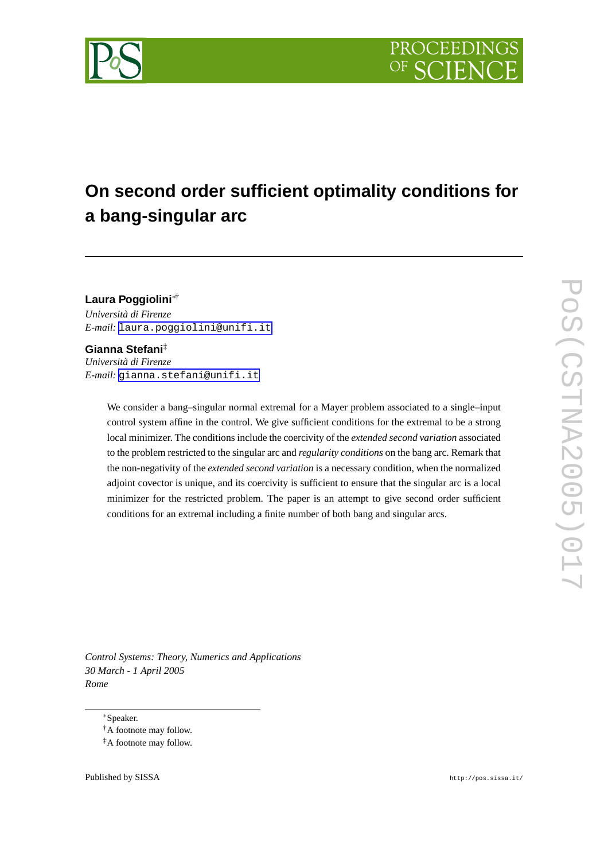# **On second order sufficient optimality conditions for a bang-singular arc**

## **Laura Poggiolini**∗†

*Università di Firenze E-mail:* [laura.poggiolini@unifi.it](mailto:laura.poggiolini@unifi.it)

### **Gianna Stefani**‡

*Università di Firenze E-mail:* [gianna.stefani@unifi.it](mailto:gianna.stefani@unifi.it)

> We consider a bang–singular normal extremal for a Mayer problem associated to a single–input control system affine in the control. We give sufficient conditions for the extremal to be a strong local minimizer. The conditions include the coercivity of the *extended second variation* associated to the problem restricted to the singular arc and *regularity conditions* on the bang arc. Remark that the non-negativity of the *extended second variation* is a necessary condition, when the normalized adjoint covector is unique, and its coercivity is sufficient to ensure that the singular arc is a local minimizer for the restricted problem. The paper is an attempt to give second order sufficient conditions for an extremal including a finite number of both bang and singular arcs.

*Control Systems: Theory, Numerics and Applications 30 March - 1 April 2005 Rome*

Published by SISSA http://pos.sissa.it/

<sup>∗</sup>Speaker.

<sup>†</sup>A footnote may follow.

<sup>‡</sup>A footnote may follow.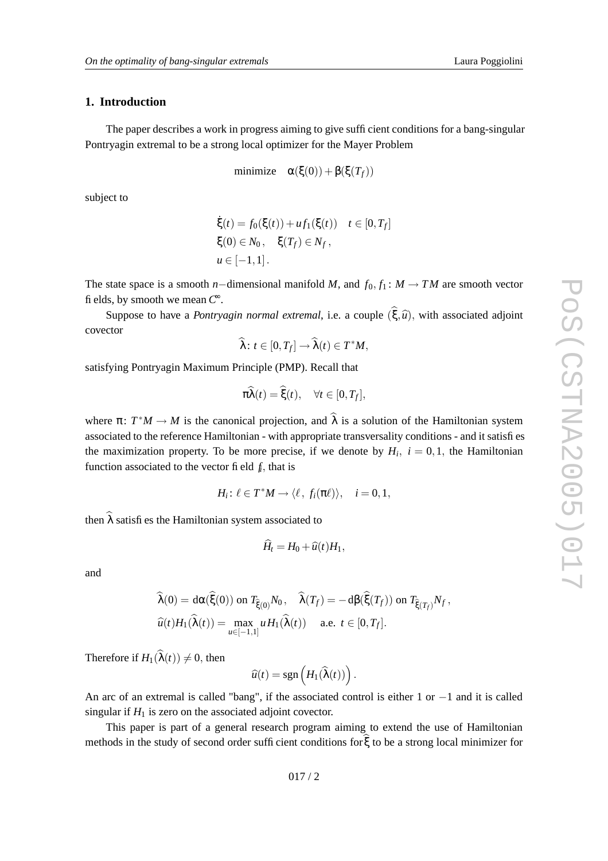#### **1. Introduction**

The paper describes a work in progress aiming to gi v e sufficient conditions for a bang-singular Pontryagin extremal to be a strong local optimizer for the Mayer Problem

minimize 
$$
\alpha(\xi(0)) + \beta(\xi(T_f))
$$

subject to

$$
\dot{\xi}(t) = f_0(\xi(t)) + uf_1(\xi(t)) \quad t \in [0, T_f]
$$
  
\n
$$
\xi(0) \in N_0, \quad \xi(T_f) \in N_f,
$$
  
\n
$$
u \in [-1, 1].
$$

The state space is a smooth *n*-dimensional manifold *M*, and  $f_0, f_1: M \to TM$  are smooth vector fields, by smooth we mean *C*∞ .

Suppose to have a *Pontryagin normal extremal*, i.e. a couple  $(\xi, \hat{u})$ , with associated adjoint co vector

$$
\widehat{\lambda} \colon t \in [0, T_f] \to \widehat{\lambda}(t) \in T^*M,
$$

satisfying Pontryagin Maximum Principle (PMP). Recall that

$$
\pi\widehat{\lambda}(t) = \widehat{\xi}(t), \quad \forall t \in [0, T_f],
$$

where  $\pi: T^*M \to M$  is the canonical projection, and  $\lambda$  is a solution of the Hamiltonian system associated to the reference Hamiltonian - with appropriate transversality conditions - and it satisfies the maximization property. To be more precise, if we denote by  $H_i$ ,  $i = 0, 1$ , the Hamiltonian function associated to the vector field *fi* , that is

$$
H_i: \ell \in T^*M \to \langle \ell, f_i(\pi \ell) \rangle, \quad i = 0, 1,
$$

then  $\lambda$  satisfies the Hamiltonian system associated to

$$
H_t = H_0 + \widehat{u}(t)H_1,
$$

and

$$
\widehat{\lambda}(0) = d\alpha(\widehat{\xi}(0)) \text{ on } T_{\widehat{\xi}(0)}N_0, \quad \widehat{\lambda}(T_f) = -d\beta(\widehat{\xi}(T_f)) \text{ on } T_{\widehat{\xi}(T_f)}N_f,
$$
  

$$
\widehat{u}(t)H_1(\widehat{\lambda}(t)) = \max_{u \in [-1,1]} uH_1(\widehat{\lambda}(t)) \quad \text{a.e. } t \in [0,T_f].
$$

Therefore if  $H_1(\lambda(t)) \neq 0$ , then

$$
\widehat{u}(t) = \mathrm{sgn}\left(H_1(\widehat{\lambda}(t))\right).
$$

An arc of an extremal is called "bang", if the associated control is either 1 or − 1 and it is called singular if  $H_1$  is zero on the associated adjoint covector.

This paper is part of a general research program aiming to extend the use of Hamiltonian methods in the study of second order sufficient conditions for  $\xi$  to be a strong local minimizer for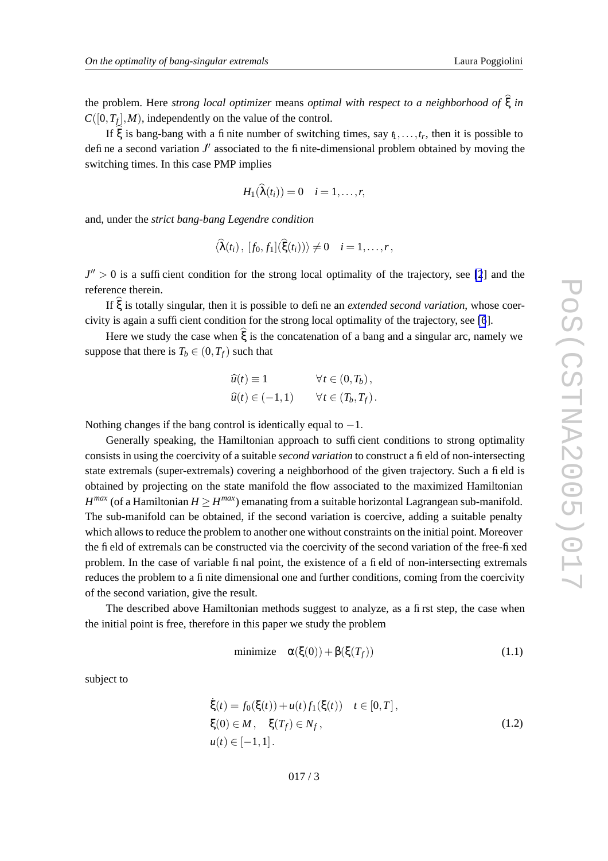<span id="page-2-0"></span>the problem. Here *strong local optimizer* means *optimal with respect to a neighborhood of* bξ *in*  $C([0, T_f], M)$ , independently on the value of the control.

If  $\xi$  is bang-bang with a finite number of switching times, say  $t_1, \ldots, t_r$ , then it is possible to define a second variation  $J'$  associated to the finite-dimensional problem obtained by moving the switching times. In this case PMP implies

$$
H_1(\widehat{\lambda}(t_i))=0 \quad i=1,\ldots,r,
$$

and, under the *strict bang-bang Legendre condition*

$$
\langle \widehat{\lambda}(t_i), [f_0, f_1](\widehat{\xi}(t_i))\rangle \neq 0 \quad i=1,\ldots,r,
$$

 $J'' > 0$  is a sufficient condition for the strong local optimality of the trajectory, see [\[2](#page-13-0)] and the reference therein.

If ξ is totally singular, then it is possible to define an *extended second variation*, whose coercivity is again a sufficient condition for the strong local optimality of the trajectory , see [\[6](#page-13-0)].

Here we study the case when  $\xi$  is the concatenation of a bang and a singular arc, namely we suppose that there is  $T_b \in (0, T_f)$  such that

$$
\widehat{u}(t) \equiv 1 \qquad \forall t \in (0, T_b),
$$
  

$$
\widehat{u}(t) \in (-1, 1) \qquad \forall t \in (T_b, T_f).
$$

Nothing changes if the bang control is identically equal to  $-1$ .

Generally speaking, the Hamiltonian approach to sufficient conditions to strong optimality consists in using the coercivity of a suitable *second variation* to construct a field of non-intersecting state extremals (super-extremals) covering a neighborhood of the given trajectory. Such a field is obtained by projecting on the state manifold the flo w associated to the maximized Hamiltonian  $H^{max}$  (of a Hamiltonian  $H \ge H^{max}$ ) emanating from a suitable horizontal Lagrangean sub-manifold. The sub-manifold can be obtained, if the second variation is coercive, adding a suitable penalty which allows to reduce the problem to another one without constraints on the initial point. Moreover the field of extremals can be constructed via the coercivity of the second variation of the free-fixed problem. In the case of variable final point, the existence of a field of non-intersecting extremals reduces the problem to a finite dimensional one and further conditions, coming from the coercivity of the second variation, give the result.

The described abo v e Hamiltonian methods suggest to analyze, as a first step, the case when the initial point is free, therefore in this paper we study the problem

$$
\text{minimize} \quad \alpha(\xi(0)) + \beta(\xi(T_f)) \tag{1.1}
$$

subject to

$$
\dot{\xi}(t) = f_0(\xi(t)) + u(t) f_1(\xi(t)) \quad t \in [0, T],
$$
  
\n
$$
\xi(0) \in M, \quad \xi(T_f) \in N_f,
$$
  
\n
$$
u(t) \in [-1, 1].
$$
\n(1.2)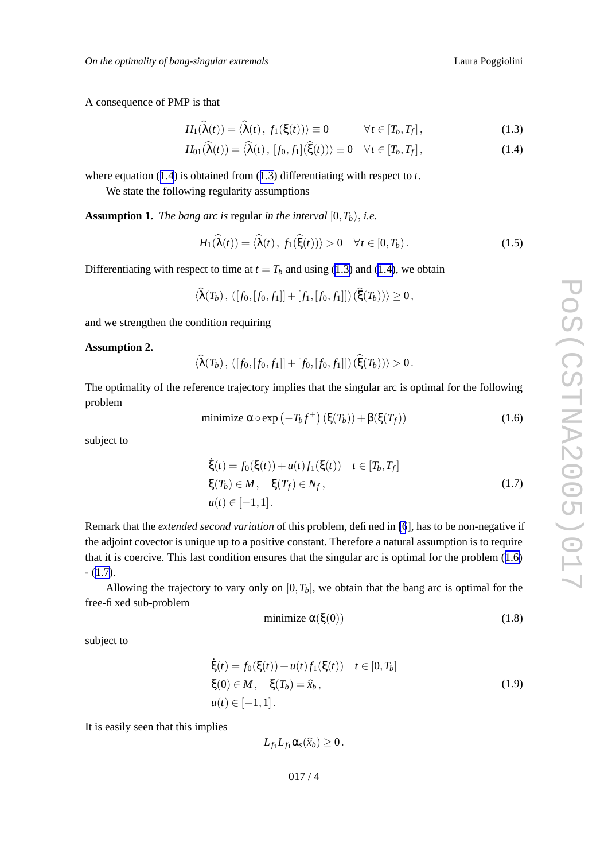<span id="page-3-0"></span>A consequence of PMP is that

$$
H_1(\widehat{\lambda}(t)) = \langle \widehat{\lambda}(t), f_1(\xi(t)) \rangle \equiv 0 \qquad \forall t \in [T_b, T_f], \qquad (1.3)
$$

$$
H_{01}(\lambda(t)) = \langle \lambda(t), [f_0, f_1](\xi(t)) \rangle \equiv 0 \quad \forall t \in [T_b, T_f], \tag{1.4}
$$

where equation (1.4) is obtained from (1.3) differentiating with respect to t.

We state the following regularity assumptions

**Assumption 1.** *The bang arc is regular in the interval*  $[0, T_b)$ , *i.e.* 

$$
H_1(\widehat{\lambda}(t)) = \langle \widehat{\lambda}(t), f_1(\widehat{\xi}(t)) \rangle > 0 \quad \forall t \in [0, T_b).
$$
 (1.5)

Differentiating with respect to time at  $t = T_b$  and using (1.3) and (1.4), we obtain

$$
\langle \widehat{\lambda}(T_b), ([f_0, [f_0, f_1]] + [f_1, [f_0, f_1]]) (\widehat{\xi}(T_b)) \rangle \geq 0,
$$

and we strengthen the condition requiring

#### **Assumption 2.**

$$
\langle \hat{\lambda}(T_b), ([f_0, [f_0, f_1]] + [f_0, [f_0, f_1]]) (\hat{\xi}(T_b)) \rangle > 0.
$$

The optimality of the reference trajectory implies that the singular arc is optimal for the following problem

> $\text{minimize } \alpha \circ \exp\left(-T_b f^+\right) \left(\xi(T_b)\right) + \beta(\xi(T_a))$ *Tf*)) (1.6)

subject to

$$
\dot{\xi}(t) = f_0(\xi(t)) + u(t) f_1(\xi(t)) \quad t \in [T_b, T_f]
$$
\n
$$
\xi(T_b) \in M, \quad \xi(T_f) \in N_f,
$$
\n
$$
u(t) \in [-1, 1].
$$
\n(1.7)

Remark that the *extended second variation* of this problem, defined in [\[6](#page-13-0)], has to be non-negative if the adjoint co vector is unique up to a positi v e constant. Therefore a natural assumption is to require that it is coerci ve. This last condition ensures that the singular arc is optimal for the problem (1.6 )  $- (1.7)$ .

Allowing the trajectory to vary only on  $[0, T_b]$ , we obtain that the bang arc is optimal for the free-fixed sub-problem

$$
minimize \alpha(\xi(0)) \tag{1.8}
$$

subject to

$$
\dot{\xi}(t) = f_0(\xi(t)) + u(t) f_1(\xi(t)) \quad t \in [0, T_b] \n\xi(0) \in M, \quad \xi(T_b) = \hat{x}_b, \nu(t) \in [-1, 1].
$$
\n(1.9)

It is easily seen that this implies

$$
L_{f_1}L_{f_1}\alpha_s(\widehat{x}_b)\geq 0.
$$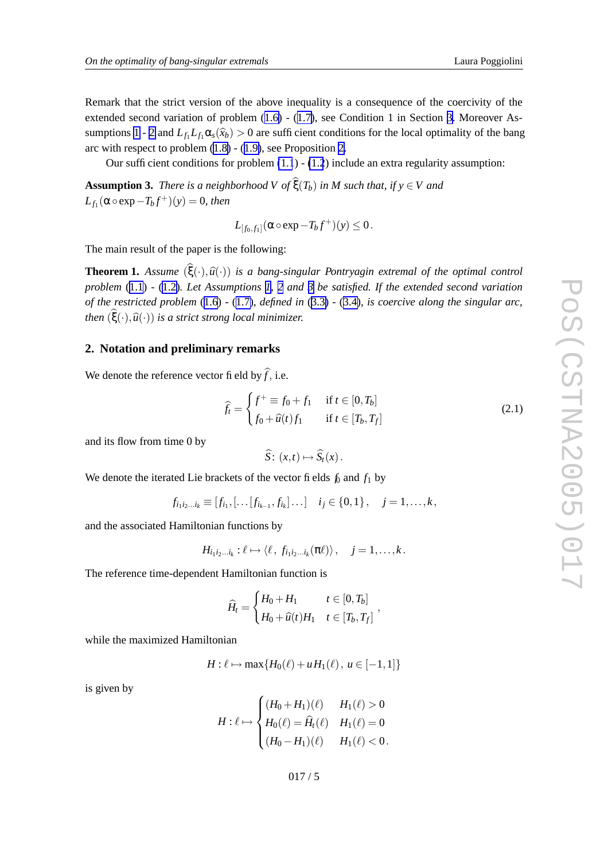<span id="page-4-0"></span>Remark that the strict version of the above inequality is a consequence of the coercivity of the extended second variation of problem ([1.6](#page-3-0)) - ([1.7\)](#page-3-0), see Condition 1 in Section [3](#page-5-0). Moreover As-sumptions [1](#page-3-0) - [2](#page-3-0) and  $L_{f_1}L_{f_1}\alpha_s(\hat{x}_b) > 0$  are sufficient conditions for the local optimality of the bang arc with respect to problem  $(1.8)$  $(1.8)$  $(1.8)$  -  $(1.9)$  $(1.9)$  $(1.9)$ , see Proposition [2](#page-9-0).

Our sufficient conditions for problem  $(1.1) - (1.2)$  $(1.1) - (1.2)$  $(1.1) - (1.2)$  $(1.1) - (1.2)$  include an extra regularity assumption:

**Assumption 3.** *There is a neighborhood*  $V$  *of*  $\xi(T_b)$  *in*  $M$  *such that, if*  $y \in V$  *and*  $L_{f_1}(\alpha \circ \exp{-T_b f^+})(y) = 0$ , *then* 

$$
L_{[f_0,f_1]}(\alpha\circ\exp-T_bf^+)(y)\leq 0\,.
$$

The main result of the paper is the following:

**Theorem 1.** Assume  $(\xi(\cdot), \hat{u}(\cdot))$  is a bang-singular Pontryagin extremal of the optimal control *problem* ([1.1](#page-2-0) ) *-* ([1.2](#page-2-0) ) *. Let Assumptions [1](#page-3-0) , [2](#page-3-0) and 3 be satisfied. If the extended second variation of the restricted problem* ([1.6](#page-3-0) ) *-* ([1.7](#page-3-0) ) *, defined in* ([3.3](#page-6-0) ) *-* ([3.4](#page-7-0) ) *, is coercive along the singular arc,*  $i$  *then*  $(\xi(\cdot), \widehat{u}(\cdot))$  *is a strict strong local minimizer.* 

#### **2. Notation and preliminary remarks**

We denote the reference vector field by  $f$ , i.e.

$$
\widehat{f}_t = \begin{cases} f^+ \equiv f_0 + f_1 & \text{if } t \in [0, T_b] \\ f_0 + \widehat{u}(t) f_1 & \text{if } t \in [T_b, T_f] \end{cases} \tag{2.1}
$$

,

and its flo w from time 0 by

$$
\widehat{S}\colon (x,t)\mapsto \widehat{S}_t(x)\,.
$$

We denote the iterated Lie brackets of the vector fields  $f_0$  and  $f_1$  by

$$
f_{i_1i_2...i_k} \equiv [f_{i_1},[\ldots[f_{i_{k-1}},f_{i_k}]\ldots] \quad i_j \in \{0,1\}, \quad j=1,\ldots,k,
$$

and the associated Hamiltonian functions by

$$
H_{i_1i_2...i_k}:\ell\mapsto \langle \ell, f_{i_1i_2...i_k}(\pi\ell) \rangle, \quad j=1,\ldots,k.
$$

The reference time-dependent Hamiltonian function is

$$
\widehat{H}_t = \begin{cases} H_0 + H_1 & t \in [0, T_b] \\ H_0 + \widehat{u}(t)H_1 & t \in [T_b, T_f] \end{cases}
$$

while the maximized Hamiltonian

$$
H: \ell \mapsto \max\{H_0(\ell) + uH_1(\ell), u \in [-1,1]\}
$$

is gi ven by

$$
H: \ell \mapsto \begin{cases} (H_0 + H_1)(\ell) & H_1(\ell) > 0 \\ H_0(\ell) = \widehat{H}_t(\ell) & H_1(\ell) = 0 \\ (H_0 - H_1)(\ell) & H_1(\ell) < 0. \end{cases}
$$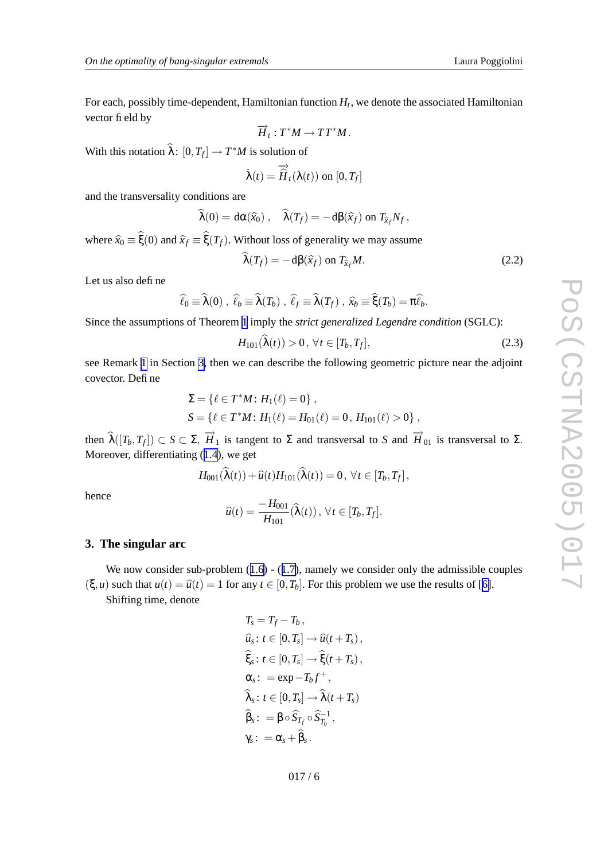<span id="page-5-0"></span>For each, possibly time-dependent, Hamiltonian function *Ht* , we denote the associated Hamiltonian vector field by

$$
\overrightarrow{H}_t: T^*M \to TT^*M.
$$

With this notation  $\hat{\lambda}$ :  $[0, T_f] \rightarrow T^*M$  is solution of

$$
\dot{\lambda}(t) = \overrightarrow{\hat{H}}_t(\lambda(t))
$$
 on  $[0, T_f]$ 

and the transversality conditions are

$$
\widehat{\lambda}(0) = d\alpha(\widehat{x}_0) , \quad \widehat{\lambda}(T_f) = -d\beta(\widehat{x}_f) \text{ on } T_{\widehat{x}_f} N_f,
$$

where  $\hat{x}_0 \equiv \xi(0)$  and  $\hat{x}_f \equiv \xi(T_f)$ . Without loss of generality we may assume

$$
\lambda(T_f) = -\mathrm{d}\beta(\widehat{x}_f) \text{ on } T_{\widehat{x}_f}M. \tag{2.2}
$$

Let us also define

$$
\widehat{\ell}_0 \equiv \widehat{\lambda}(0) , \ \widehat{\ell}_b \equiv \widehat{\lambda}(T_b) , \ \widehat{\ell}_f \equiv \widehat{\lambda}(T_f) , \ \widehat{x}_b \equiv \widehat{\xi}(T_b) = \pi \widehat{\ell}_b.
$$

Since the assumptions of Theorem [1](#page-4-0) imply the *strict generalized Legendre condition* (SGLC):

$$
H_{101}(\lambda(t)) > 0, \,\forall t \in [T_b, T_f], \tag{2.3}
$$

see Remark [1](#page-7-0) in Section 3 , then we can describe the following geometric picture near the adjoint co vector . Define

$$
\Sigma = \{ \ell \in T^*M : H_1(\ell) = 0 \},
$$
  
\n
$$
S = \{ \ell \in T^*M : H_1(\ell) = H_{01}(\ell) = 0, H_{101}(\ell) > 0 \},
$$

then  $\widehat{\lambda}([T_b,T_f]) \subset S \subset \Sigma$ ,  $\overrightarrow{H}_1$  is tangent to  $\Sigma$  and transversal to S and  $\overrightarrow{H}_{01}$  is transversal to  $\Sigma$ . Moreover, differentiating ([1.4](#page-3-0)), we get

$$
H_{001}(\widehat{\lambda}(t)) + \widehat{u}(t)H_{101}(\widehat{\lambda}(t)) = 0, \,\forall t \in [T_b, T_f],
$$

hence

$$
\widehat{u}(t) = \frac{-H_{001}}{H_{101}}(\widehat{\lambda}(t)), \,\forall t \in [T_b, T_f].
$$

#### **3. The singular ar c**

We now consider sub-problem  $(1.6)$  $(1.6)$  $(1.6)$  -  $(1.7)$  $(1.7)$  $(1.7)$ , namely we consider only the admissible couples  $(\xi, u)$  such that  $u(t) = \hat{u}(t) = 1$  for any  $t \in [0, T_b]$ . For this problem we use the results of [[6\]](#page-13-0).

Shifting time, denote

$$
T_s = T_f - T_b,
$$
  
\n
$$
\widehat{u}_s : t \in [0, T_s] \to \widehat{u}(t + T_s),
$$
  
\n
$$
\widehat{\xi}_s : t \in [0, T_s] \to \widehat{\xi}(t + T_s),
$$
  
\n
$$
\alpha_s : = \exp{-T_b f^+},
$$
  
\n
$$
\widehat{\lambda}_s : t \in [0, T_s] \to \widehat{\lambda}(t + T_s)
$$
  
\n
$$
\widehat{\beta}_s : = \beta \circ \widehat{S}_{T_f} \circ \widehat{S}_{T_b}^{-1},
$$
  
\n
$$
\gamma_s : = \alpha_s + \widehat{\beta}_s.
$$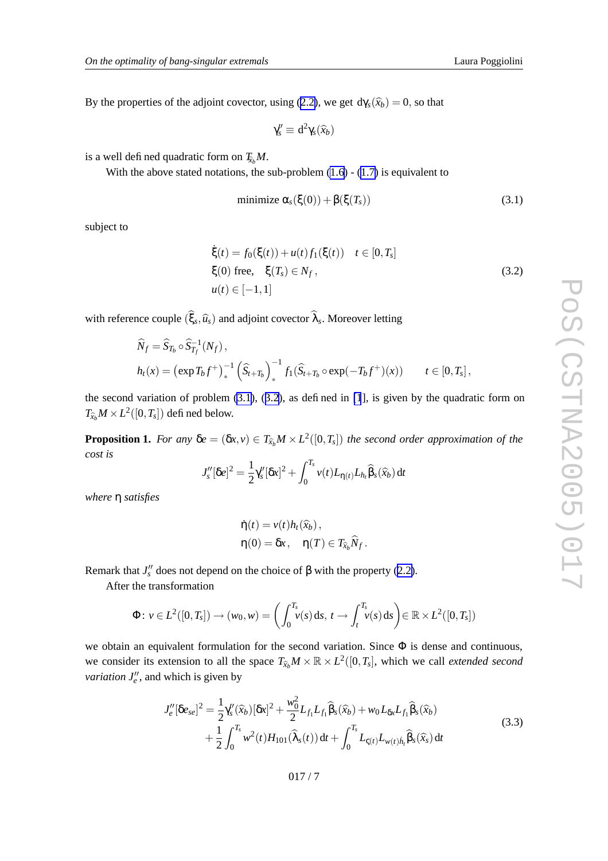<span id="page-6-0"></span>By the properties of the adjoint covector, using [\(2.2\)](#page-5-0), we get  $d\gamma_s(\hat{x}_b) = 0$ , so that

$$
\gamma_s'' \equiv d^2 \gamma_s(\widehat{x}_b)
$$

is a well defined quadratic form on  $\mathcal{F}_{\hat{x}_b}M$ .

With the above stated notations, the sub-problem  $(1.6)$  $(1.6)$  -  $(1.7)$  $(1.7)$  is equivalent to

$$
\text{minimize } \alpha_s(\xi(0)) + \beta(\xi(T_s)) \tag{3.1}
$$

subject to

$$
\dot{\xi}(t) = f_0(\xi(t)) + u(t)f_1(\xi(t)) \quad t \in [0, T_s]
$$
  
\n
$$
\xi(0) \text{ free}, \quad \xi(T_s) \in N_f,
$$
  
\n
$$
u(t) \in [-1, 1]
$$
\n(3.2)

.

with reference couple  $(\xi_s, \hat{u}_s)$  and adjoint covector  $\lambda_s$ . Moreover letting

$$
\widehat{N}_f = \widehat{S}_{T_b} \circ \widehat{S}_{T_f}^{-1}(N_f), \nh_t(x) = (\exp T_b f^+)_*^{-1} (\widehat{S}_{t+T_b})_*^{-1} f_1(\widehat{S}_{t+T_b} \circ \exp(-T_b f^+)(x)) \qquad t \in [0, T_s],
$$

the second variation of problem (3.1 ) , (3.2), as defined in [\[1](#page-13-0)], is gi ven by the quadratic form on  $T_{\hat{x}_b} M \times L^2([0,T_s])$  defined below.

**Proposition 1.** For any  $\delta e = (\delta x, v) \in T_{\hat{x}_b}M \times L^2([0, T_s])$  the second order approximation of the *cost is*

$$
J_s''[\delta e]^2 = \frac{1}{2}\gamma_s''[\delta x]^2 + \int_0^{T_s} v(t)L_{\eta(t)}L_{h_t}\widehat{\beta}_s(\widehat{x}_b) dt
$$

*where* η *satisfies*

$$
\dot{\eta}(t) = v(t)h_t(\widehat{x}_b),
$$
  

$$
\eta(0) = \delta x, \quad \eta(T) \in T_{\widehat{x}_b}\widehat{N}_f
$$

Remark that  $J''_s$  does not depend on the choice of  $\beta$  with the property ([2.2](#page-5-0)).

After the transformation

$$
\Phi\colon v\in L^2([0,T_s])\to (w_0,w)=\bigg(\int_0^{T_s}v(s)\,\mathrm{d} s,\,t\to \int_t^{T_s}v(s)\,\mathrm{d} s\bigg)\in\mathbb{R}\times L^2([0,T_s])
$$

we obtain an equivalent formulation for the second variation. Since  $\Phi$  is dense and continuous, we consider its extension to all the space  $T_{\hat{x}_b}M \times \mathbb{R} \times L^2([0,T_s])$ , which we call *extended second variation*  $J_e^{\prime\prime}$ , and which is given by

$$
J''_e[\delta e_{se}]^2 = \frac{1}{2} \gamma_s''(\hat{x}_b) [\delta x]^2 + \frac{w_0^2}{2} L_{f_1} L_{f_1} \hat{\beta}_s(\hat{x}_b) + w_0 L_{\delta x} L_{f_1} \hat{\beta}_s(\hat{x}_b) + \frac{1}{2} \int_0^{T_s} w^2(t) H_{101}(\hat{\lambda}_s(t)) dt + \int_0^{T_s} L_{\varsigma(t)} L_{w(t)h_t} \hat{\beta}_s(\hat{x}_s) dt
$$
\n(3.3)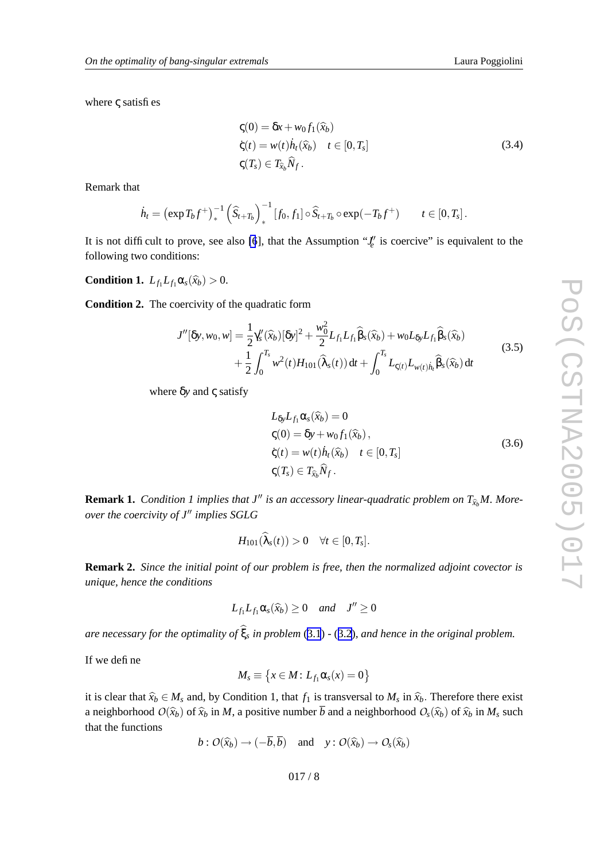<span id="page-7-0"></span>where  $\varsigma$  satisfies

$$
\begin{aligned} \n\varsigma(0) &= \delta x + w_0 f_1(\widehat{x}_b) \\ \n\dot{\varsigma}(t) &= w(t) \dot{h}_t(\widehat{x}_b) \quad t \in [0, T_s] \\ \n\varsigma(T_s) &\in T_{\widehat{x}_b} \widehat{N}_f. \n\end{aligned} \tag{3.4}
$$

Remark that

$$
\dot{h}_t = \left(\exp T_b f^+\right)_*^{-1} \left(\widehat{S}_{t+T_b}\right)_*^{-1} [f_0, f_1] \circ \widehat{S}_{t+T_b} \circ \exp(-T_b f^+) \qquad t \in [0, T_s]
$$

It is not difficult to prove, see also [\[6](#page-13-0)], that the Assumption  $\mathcal{A}'_e$  is coercive" is equivalent to the following tw o conditions:

**Condition 1.**  $L_{f_1}L_{f_1}\alpha_s(\hat{x}_b) > 0$ .

**Condition 2.** The coercivity of the quadratic form

$$
J''[\delta y, w_0, w] = \frac{1}{2} \gamma_s''(\hat{x}_b) [\delta y]^2 + \frac{w_0^2}{2} L_{f_1} L_{f_1} \hat{\beta}_s(\hat{x}_b) + w_0 L_{\delta y} L_{f_1} \hat{\beta}_s(\hat{x}_b)
$$
  
+ 
$$
\frac{1}{2} \int_0^{T_s} w^2(t) H_{101}(\hat{\lambda}_s(t)) dt + \int_0^{T_s} L_{\varsigma(t)} L_{w(t)h_t} \hat{\beta}_s(\hat{x}_b) dt
$$
(3.5)

where δ*y* and ς satisfy

$$
L_{\delta y}L_{f_1}\alpha_s(\widehat{x}_b) = 0
$$
  
\n
$$
\varsigma(0) = \delta y + w_0 f_1(\widehat{x}_b),
$$
  
\n
$$
\dot{\varsigma}(t) = w(t)\dot{h}_t(\widehat{x}_b) \quad t \in [0, T_s]
$$
  
\n
$$
\varsigma(T_s) \in T_{\widehat{x}_b}\widehat{N}_f.
$$
\n(3.6)

**Remark 1.** Condition 1 implies that  $J''$  is an accessory linear-quadratic problem on  $T_{\hat{x}_b}M$ . More*over the coercivity of J* <sup>00</sup> *implies SGLG*

$$
H_{101}(\widehat{\lambda}_s(t)) > 0 \quad \forall t \in [0, T_s].
$$

**Remark 2.** *Since the initial point of our problem is free , then the normalized adjoint covector is unique , hence the conditions*

$$
L_{f_1}L_{f_1}\alpha_s(\widehat{x}_b)\geq 0 \quad \text{and} \quad J''\geq 0
$$

*are necessary for the optimality of*  $\xi_s$  *in problem* ([3.1](#page-6-0)) - ([3.2](#page-6-0)), and hence in the original problem.

If we define

$$
M_s \equiv \left\{ x \in M \colon L_{f_1} \alpha_s(x) = 0 \right\}
$$

it is clear that  $\hat{x}_b \in M_s$  and, by Condition 1, that  $f_1$  is transversal to  $M_s$  in  $\hat{x}_b$ . Therefore there exist a neighborhood  $O(\hat{x}_b)$  of  $\hat{x}_b$  in *M*, a positive number  $\overline{b}$  and a neighborhood  $O_s(\hat{x}_b)$  of  $\hat{x}_b$  in  $M_s$  such that the functions

$$
b: O(\widehat{x}_b) \to (-\overline{b}, \overline{b})
$$
 and  $y: O(\widehat{x}_b) \to O_s(\widehat{x}_b)$ 

.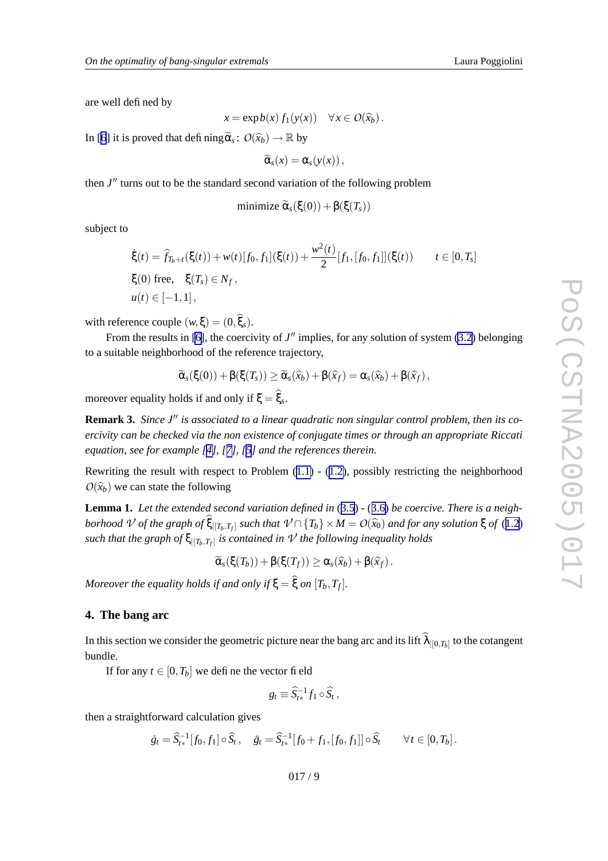<span id="page-8-0"></span>are well defined by

$$
x = \exp b(x) f_1(y(x)) \quad \forall x \in O(\widehat{x}_b).
$$

In [[6](#page-13-0)] it is proved that defining  $\widetilde{\alpha}_s$ :  $O(\widehat{x}_b) \to \mathbb{R}$  by

$$
\widetilde{\alpha}_s(x)=\alpha_s(y(x)),
$$

then  $J''$  turns out to be the standard second variation of the following problem

$$
\text{minimize } \widetilde{\alpha}_s(\xi(0)) + \beta(\xi(T_s))
$$

subject to

$$
\dot{\xi}(t) = \hat{f}_{T_b+t}(\xi(t)) + w(t)[f_0, f_1](\xi(t)) + \frac{w^2(t)}{2}[f_1, [f_0, f_1]](\xi(t)) \qquad t \in [0, T_s]
$$
  
\n
$$
\xi(0) \text{ free}, \quad \xi(T_s) \in N_f,
$$
  
\n
$$
u(t) \in [-1, 1],
$$

with reference couple  $(w, \xi) = (0, \xi_s)$ .

From the results in [\[6\]](#page-13-0), the coercivity of  $J''$  implies, for any solution of system [\(3.2](#page-6-0)) belonging to a suitable neighborhood of the reference trajectory ,

$$
\widetilde{\alpha}_s(\xi(0)) + \beta(\xi(T_s)) \geq \widetilde{\alpha}_s(\widehat{x}_b) + \beta(\widehat{x}_f) = \alpha_s(\widehat{x}_b) + \beta(\widehat{x}_f),
$$

moreover equality holds if and only if  $\xi = \xi_s$ .

**Remark 3.** Since J<sup>"</sup> is associated to a linear quadratic non singular control problem, then its co*ercivity can be checked via the non existence of conjugate times or through an appropriate Riccati equation, see for example [\[4\]](#page-13-0), [[7\]](#page-13-0), [[5](#page-13-0) ] and the references therein.*

Rewriting the result with respect to Problem  $(1.1)$  $(1.1)$  $(1.1)$  -  $(1.2)$  $(1.2)$  $(1.2)$ , possibly restricting the neighborhood  $O(\hat{x}_b)$  we can state the following

**Lemma 1.** *Let the extended second variation defined in* ([3.5](#page-7-0) ) *-* ([3.6](#page-7-0) ) *be coercive . There is a neigh*borhood V of the graph of  $\xi_{|[T_b,T_f]}$  such that  $V \cap \{T_b\} \times M = O(\widehat{x}_0)$  and for any solution  $\xi$  of ([1.2](#page-2-0))  $s$ *uch that the graph of*  $\xi_{|[T_b,T_f]}$  *is contained in*  ${\cal V}$  *the following inequality holds* 

$$
\widetilde{\alpha}_s(\xi(T_b)) + \beta(\xi(T_f)) \geq \alpha_s(\widehat{x}_b) + \beta(\widehat{x}_f)
$$

.

*Moreover the equality holds if and only if*  $\xi = \xi$  *on*  $[T_b, T_f]$ .

#### **4. The bang ar c**

In this section we consider the geometric picture near the bang arc and its lift  $\lambda_{|[0,T_b]}$  to the cotangent bundle.

If for any  $t \in [0, T_b]$  we define the vector field

$$
g_t \equiv \widehat{S}_{t*}^{-1} f_1 \circ \widehat{S}_t
$$

,

then a straightforward calculation gi ves

$$
\dot{g}_t = \hat{S}_{t*}^{-1} [f_0, f_1] \circ \hat{S}_t, \quad \ddot{g}_t = \hat{S}_{t*}^{-1} [f_0 + f_1, [f_0, f_1]] \circ \hat{S}_t \qquad \forall t \in [0, T_b].
$$

$$
017/9
$$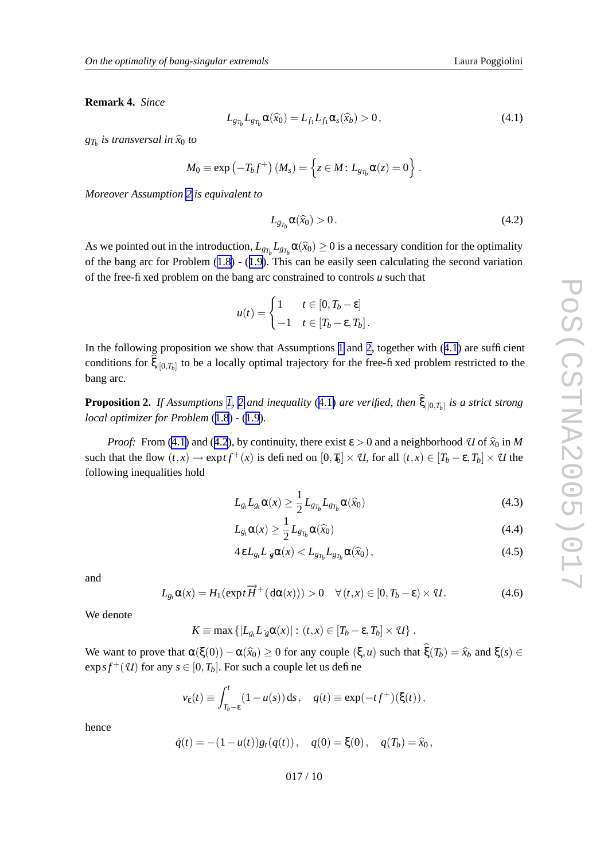<span id="page-9-0"></span>**Remark 4.** *Since*

$$
L_{g_{T_b}}L_{g_{T_b}}\alpha(\widehat{x}_0) = L_{f_1}L_{f_1}\alpha_s(\widehat{x}_b) > 0, \qquad (4.1)
$$

 $g_{T_b}$  *is transversal in*  $\widehat{x}_0$  *to*<br>*M*<sub>0</sub>

$$
M_0 \equiv \exp(-T_b f^+) (M_s) = \left\{ z \in M \colon L_{g_{T_b}} \alpha(z) = 0 \right\}.
$$

*Moreover Assumption [2](#page-3-0) is equivalent to*

$$
L_{\ddot{g}_{T_b}}\alpha(\widehat{x}_0) > 0. \tag{4.2}
$$

As we pointed out in the introduction,  $L_{gr_b} L_{gr_b} \alpha(\hat{x}_0) \ge 0$  is a necessary condition for the optimality of the bang arc for Problem ([1.8](#page-3-0) ) - ([1.9](#page-3-0)). This can be easily seen calculating the second variation of the free-fixed problem on the bang arc constrained to controls *u* such that

$$
u(t) = \begin{cases} 1 & t \in [0, T_b - \varepsilon] \\ -1 & t \in [T_b - \varepsilon, T_b] \end{cases}
$$

In the following proposition we show that Assumptions [1](#page-3-0) and [2](#page-3-0), together with (4.1) are sufficient conditions for  $\xi_{|[0,T_b]}$  to be a locally optimal trajectory for the free-fixed problem restricted to the bang arc.

**Proposition [2](#page-3-0).** If Assumptions [1](#page-3-0), 2 and inequality (4.1) are verified, then  $\xi_{|[0,T_b]}$  is a strict strong *local optimizer for Problem* ([1.8](#page-3-0) ) *-* ([1.9](#page-3-0) ) *.*

*Proof:* From (4.1) and (4.2), by continuity, there exist  $\epsilon > 0$  and a neighborhood *U* of  $\hat{x}_0$  in *M* such that the flow  $(t,x) \to \exp t f^+(x)$  is defined on  $[0,\mathcal{F}_b] \times \mathcal{U}$ , for all  $(t,x) \in [T_b - \varepsilon, T_b] \times \mathcal{U}$  the following inequalities hold

$$
L_{g_t}L_{g_t}\alpha(x) \ge \frac{1}{2}L_{g_{T_b}}L_{g_{T_b}}\alpha(\widehat{x}_0)
$$
\n(4.3)

.

$$
L_{\ddot{g}_t} \alpha(x) \ge \frac{1}{2} L_{\ddot{g}_{T_b}} \alpha(\widehat{x}_0)
$$
\n(4.4)

$$
4\,\varepsilon L_{g_t}L_g\alpha(x) < L_{g_{T_b}}L_{g_{T_b}}\alpha(\widehat{x}_0)\,,\tag{4.5}
$$

and

$$
L_{g_t}\alpha(x) = H_1(\exp t \overrightarrow{H}^+(d\alpha(x))) > 0 \quad \forall (t, x) \in [0, T_b - \varepsilon) \times \mathcal{U}.
$$
 (4.6)

We denote

 $K \equiv \max \{ |L_{g_t} L_{g} \alpha(x)| : (t, x) \in [T_b - \varepsilon, T_b] \times U \}.$ 

We want to prove that  $\alpha(\xi(0)) - \alpha(\hat{x}_0) \ge 0$  for any couple  $(\xi, u)$  such that  $\xi(T_b) = \hat{x}_b$  and  $\xi(s) \in$  $\exp{sf^+(U)}$  for any  $s\in[0,T_b].$  For such a couple let us defi ne

$$
\nu_{\varepsilon}(t) \equiv \int_{T_b - \varepsilon}^t (1 - u(s)) \, \mathrm{d}s \,, \quad q(t) \equiv \exp(-t f^+)(\xi(t)),
$$

hence

$$
\dot{q}(t) = -(1 - u(t))g_t(q(t)), \quad q(0) = \xi(0), \quad q(T_b) = \hat{x}_0,
$$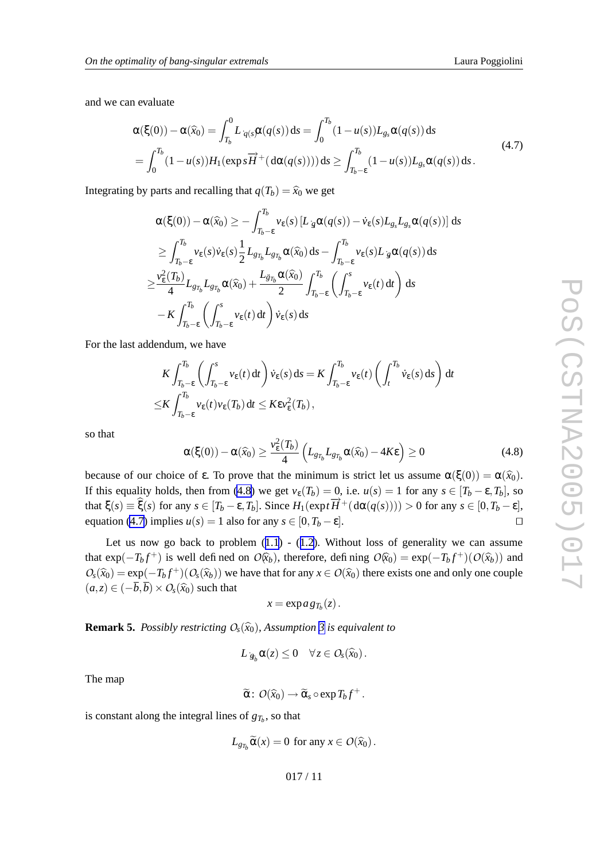Laura Poggiolini

and we can e valuate

$$
\alpha(\xi(0)) - \alpha(\widehat{x}_0) = \int_{T_b}^0 L_{q(s)} \alpha(q(s)) ds = \int_0^{T_b} (1 - u(s)) L_{g_s} \alpha(q(s)) ds
$$
  
= 
$$
\int_0^{T_b} (1 - u(s)) H_1(\exp s \overrightarrow{H}^+(d\alpha(q(s)))) ds \ge \int_{T_b - \varepsilon}^{T_b} (1 - u(s)) L_{g_s} \alpha(q(s)) ds.
$$
 (4.7)

Integrating by parts and recalling that  $q(T_b) = \hat{x}_0$  we get

$$
\alpha(\xi(0)) - \alpha(\widehat{x}_0) \ge -\int_{T_b - \epsilon}^{T_b} v_{\epsilon}(s) \left[L_g \alpha(q(s)) - \dot{v}_{\epsilon}(s)L_{g_s} L_{g_s} \alpha(q(s))\right] ds
$$
  
\n
$$
\ge \int_{T_b - \epsilon}^{T_b} v_{\epsilon}(s) \dot{v}_{\epsilon}(s) \frac{1}{2} L_{g_{T_b}} L_{g_{T_b}} \alpha(\widehat{x}_0) ds - \int_{T_b - \epsilon}^{T_b} v_{\epsilon}(s) L_g \alpha(q(s)) ds
$$
  
\n
$$
\ge \frac{v_{\epsilon}^2(T_b)}{4} L_{g_{T_b}} L_{g_{T_b}} \alpha(\widehat{x}_0) + \frac{L_{\widetilde{g}_{T_b}} \alpha(\widehat{x}_0)}{2} \int_{T_b - \epsilon}^{T_b} \left(\int_{T_b - \epsilon}^{s} v_{\epsilon}(t) dt\right) ds
$$
  
\n
$$
-K \int_{T_b - \epsilon}^{T_b} \left(\int_{T_b - \epsilon}^{s} v_{\epsilon}(t) dt\right) \dot{v}_{\epsilon}(s) ds
$$

For the last addendum, we have

$$
K \int_{T_b-\varepsilon}^{T_b} \left( \int_{T_b-\varepsilon}^s v_{\varepsilon}(t) dt \right) \dot{v}_{\varepsilon}(s) ds = K \int_{T_b-\varepsilon}^{T_b} v_{\varepsilon}(t) \left( \int_t^{T_b} \dot{v}_{\varepsilon}(s) ds \right) dt
$$
  

$$
\leq K \int_{T_b-\varepsilon}^{T_b} v_{\varepsilon}(t) v_{\varepsilon}(T_b) dt \leq K \varepsilon v_{\varepsilon}^2(T_b),
$$

so that

$$
\alpha(\xi(0)) - \alpha(\widehat{x}_0) \ge \frac{v_{\varepsilon}^2(T_b)}{4} \left( L_{g_{T_b}} L_{g_{T_b}} \alpha(\widehat{x}_0) - 4K\varepsilon \right) \ge 0 \tag{4.8}
$$

because of our choice of  $\varepsilon$ . To prove that the minimum is strict let us assume  $\alpha(\xi(0)) = \alpha(\widehat{x}_0)$ . If this equality holds, then from (4.8) we get  $v_{\epsilon}(T_b) = 0$ , i.e.  $u(s) = 1$  for any  $s \in [T_b - \epsilon, T_b]$ , so that  $\xi(s) \equiv \hat{\xi}(s)$  for any  $s \in [T_b - \varepsilon, T_b]$ . Since  $H_1(\exp t \vec{H}^+ (\text{d}\alpha(q(s)))) > 0$  for any  $s \in [0, T_b - \varepsilon]$ , equation (4.7) implies  $u(s) = 1$  also for any  $s \in [0, T_b - \varepsilon]$ .  $\Box$ 

Let us now go back to problem  $(1.1)$  $(1.1)$  $(1.1)$  -  $(1.2)$  $(1.2)$  $(1.2)$ . Without loss of generality we can assume that  $\exp(-T_b f^+)$  is well defined on  $O(\widehat{x}_b)$ , therefore, defining  $O(\widehat{x}_0) = \exp(-T_b f^+) (O(\widehat{x}_b))$  and  $O_s(\hat{x}_0) = \exp(-T_b f^+)(O_s(\hat{x}_b))$  we have that for any  $x \in O(\hat{x}_0)$  there exists one and only one couple  $(a, z) \in (-\overline{b}, \overline{b}) \times O_s(\widehat{x}_0)$  such that

$$
x=\exp a\,g_{T_b}(z)\,.
$$

**Remark 5.** Possibly restricting  $O_s(\widehat{x}_0)$ , Assumption [3](#page-4-0) is equivalent to

$$
L_{\mathscr{G}_b} \alpha(z) \leq 0 \quad \forall z \in O_s(\widehat{x}_0).
$$

The map

$$
\widetilde{\alpha} \colon O(\widehat{x}_0) \to \widetilde{\alpha}_s \circ \exp T_b f^+.
$$

is constant along the integral lines of  $g_{T_b}$ , so that

$$
L_{g_{T_b}}\widetilde{\alpha}(x) = 0 \text{ for any } x \in O(\widehat{x}_0).
$$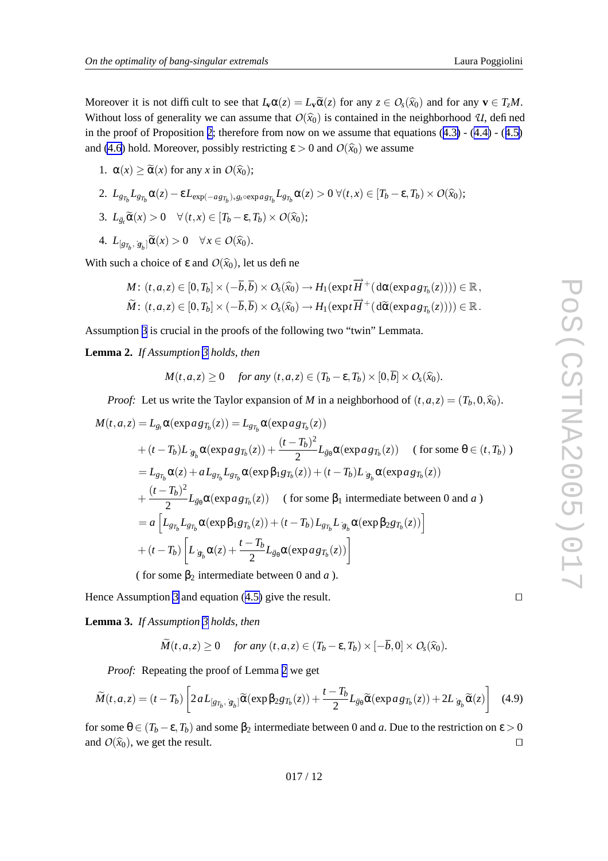$\Box$ 

<span id="page-11-0"></span>Moreover it is not difficult to see that  $L_v \alpha(z) = L_v \widetilde{\alpha}(z)$  for any  $z \in O_s(\widehat{x}_0)$  and for any  $v \in T_zM$ . Without loss of generality we can assume that  $O(\hat{x}_0)$  is contained in the neighborhood U, defined in the proof of Proposition [2](#page-9-0); therefore from now on we assume that equations ([4.3](#page-9-0)) - ([4.4](#page-9-0)) - ([4.5](#page-9-0)) and [\(4.6](#page-9-0)) hold. Moreover, possibly restricting  $\varepsilon > 0$  and  $O(\widehat{x}_0)$  we assume

1.  $\alpha(x) \geq \tilde{\alpha}(x)$  for any *x* in  $O(\hat{x}_0)$ ;

2. 
$$
L_{g_{T_b}}L_{g_{T_b}}\alpha(z)-\varepsilon L_{\exp(-ag_{T_b})*g_t\circ\exp(g_{T_b}}L_{g_{T_b}}\alpha(z)>0\ \forall (t,x)\in[T_b-\varepsilon,T_b)\times O(\widehat{x}_0);
$$

3. 
$$
L_{\ddot{g}_t} \widetilde{\alpha}(x) > 0 \quad \forall (t,x) \in [T_b - \varepsilon, T_b) \times O(\widehat{x}_0);
$$

4. 
$$
L_{[g_{T_b}, g_b]} \widetilde{\alpha}(x) > 0 \quad \forall x \in O(\widehat{x}_0).
$$

With such a choice of  $\varepsilon$  and  $O(\hat{x}_0)$ , let us define

$$
M\colon (t,a,z)\in [0,T_b]\times (-\overline{b},\overline{b})\times O_s(\widehat{x}_0)\to H_1(\exp t\overrightarrow{H}^+(\mathrm{d}\alpha(\exp a\,g_{T_b}(z))))\in \mathbb{R},
$$
  

$$
\widetilde{M}\colon (t,a,z)\in [0,T_b]\times (-\overline{b},\overline{b})\times O_s(\widehat{x}_0)\to H_1(\exp t\overrightarrow{H}^+(\mathrm{d}\widetilde{\alpha}(\exp a\,g_{T_b}(z))))\in \mathbb{R}.
$$

Assumption [3](#page-4-0) is crucial in the proofs of the following tw o "twin" Lemmata.

**Lemma 2.** *If Assumption [3](#page-4-0) holds, then*

$$
M(t, a, z) \ge 0 \quad \text{for any } (t, a, z) \in (T_b - \varepsilon, T_b) \times [0, \overline{b}] \times O_s(\widehat{x}_0)
$$

*Proof:* Let us write the Taylor expansion of *M* in a neighborhood of  $(t, a, z) = (T_b, 0, \hat{x}_0)$ .

$$
M(t, a, z) = L_{g_t} \alpha(\exp a g_{T_b}(z)) = L_{g_{T_b}} \alpha(\exp a g_{T_b}(z))
$$
  
+  $(t - T_b)L_{g_{T_b}} \alpha(\exp a g_{T_b}(z)) + \frac{(t - T_b)^2}{2} L_{g_{\theta}} \alpha(\exp a g_{T_b}(z))$  (for some  $\theta \in (t, T_b)$ )  
=  $L_{g_{T_b}} \alpha(z) + a L_{g_{T_b}} L_{g_{T_b}} \alpha(\exp \beta_1 g_{T_b}(z)) + (t - T_b)L_{g_{\theta}} \alpha(\exp a g_{T_b}(z))$   
+  $\frac{(t - T_b)^2}{2} L_{g_{\theta}} \alpha(\exp a g_{T_b}(z))$  (for some  $\beta_1$  intermediate between 0 and a)  
=  $a \left[ L_{g_{T_b}} L_{g_{T_b}} \alpha(\exp \beta_1 g_{T_b}(z)) + (t - T_b)L_{g_{T_b}} L_{g_{\theta}} \alpha(\exp \beta_2 g_{T_b}(z)) \right]$   
+  $(t - T_b) \left[ L_{g_{\theta}} \alpha(z) + \frac{t - T_b}{2} L_{g_{\theta}} \alpha(\exp a g_{T_b}(z)) \right]$   
(for some  $\beta_2$  intermediate between 0 and a).

Hence Assumption [3](#page-4-0) and equation ([4.5](#page-9-0)) give the result.

**Lemma 3.** *If Assumption [3](#page-4-0) holds, then*

$$
\widetilde{M}(t,a,z) \ge 0 \quad \text{ for any } (t,a,z) \in (T_b - \varepsilon, T_b) \times [-\overline{b}, 0] \times O_s(\widehat{x}_0)
$$

*Proof:* Repeating the proof of Lemma 2 we get

$$
\widetilde{M}(t,a,z) = (t - T_b) \left[ 2aL_{[g_{T_b}, g_b]} \widetilde{\alpha}(\exp \beta_2 g_{T_b}(z)) + \frac{t - T_b}{2} L_{\ddot{g}_\theta} \widetilde{\alpha}(\exp a g_{T_b}(z)) + 2L_{\ddot{g}_\theta} \widetilde{\alpha}(z) \right] \tag{4.9}
$$

for some  $\theta \in (T_b-\varepsilon, T_b)$  and some  $\beta_2$  intermediate between 0 and *a*. Due to the restriction on  $\varepsilon > 0$ and  $O(\widehat{x}_0)$ , we get the result.  $\Box$ 

*.*

*.*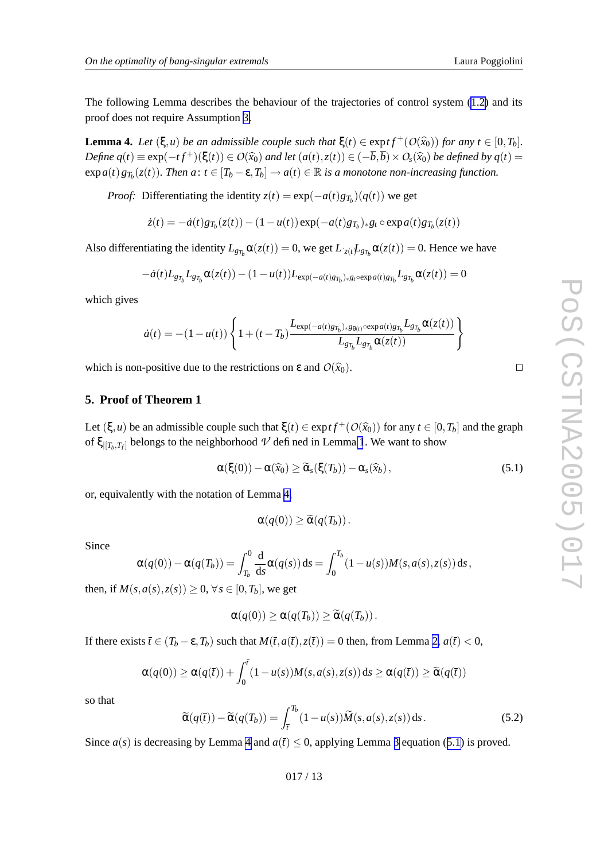$\Box$ 

<span id="page-12-0"></span>The following Lemma describes the behaviour of the trajectories of control system ([1.2](#page-2-0) ) and its proof does not require Assumption [3](#page-4-0) .

**Lemma 4.** Let  $(\xi, u)$  be an admissible couple such that  $\xi(t) \in \operatorname{exptf}^+(\mathcal{O}(\widehat{x}_0))$  for any  $t \in [0, T_b]$ . Define  $q(t) \equiv \exp(-tf^+)(\xi(t)) \in O(\widehat{x}_0)$  and let  $(a(t), z(t)) \in (-\overline{b}, \overline{b}) \times O_s(\widehat{x}_0)$  be defined by  $q(t) =$  $\exp a(t) g_{T_b}(z(t))$ . Then  $a: t \in [T_b - \varepsilon, T_b] \to a(t) \in \mathbb{R}$  is a monotone non-increasing function.

*Proof:* Differentiating the identity  $z(t) = \exp(-a(t)g_{T_b})(q(t))$  we get

$$
\dot{z}(t) = -\dot{a}(t)g_{T_b}(z(t)) - (1 - u(t))\exp(-a(t)g_{T_b}) * g_t \circ \exp(a(t)g_{T_b}(z(t)))
$$

Also differentiating the identity  $L_{gr_b}\alpha(z(t)) = 0$ , we get  $L_{z(t)}L_{gr_b}\alpha(z(t)) = 0$ . Hence we have

$$
-\dot{a}(t)L_{g_{T_b}}L_{g_{T_b}}\alpha(z(t)) - (1 - u(t))L_{\exp(-a(t)g_{T_b}) * g_t \circ \exp(a(t)g_{T_b}}L_{g_{T_b}}\alpha(z(t)) = 0
$$

which gi ves

$$
\dot{a}(t) = -(1 - u(t)) \left\{ 1 + (t - T_b) \frac{L_{\exp(-a(t)g_{T_b}) * g_{\theta(t)} \exp(a(t)g_{T_b} } L_{g_{T_b}} \alpha(z(t))}{L_{g_{T_b}} L_{g_{T_b}} \alpha(z(t))} \right\}
$$

which is non-positive due to the restrictions on  $\varepsilon$  and  $O(\widehat{x}_0)$ .

#### **5. Proof of Theorem 1**

Let  $(\xi, u)$  be an admissible couple such that  $\xi(t) \in \exp t f^+(O(\widehat{x}_0))$  for any  $t \in [0, T_b]$  and the graph of  $\xi_{|[T_b,T_f]}$  belongs to the neighborhood  $\nu$  defined in Lemma [1](#page-8-0). We want to show

> $\alpha(\xi(0)) - \alpha(\widehat{x}_0) \ge \widetilde{\alpha}_s(\xi(T_b)) - \alpha_s(\widehat{x}_b)$  $(5.1)$

or , equi valently with the notation of Lemma 4 ,

$$
\alpha(q(0))\geq \widetilde{\alpha}(q(T_b)).
$$

Since

$$
\alpha(q(0)) - \alpha(q(T_b)) = \int_{T_b}^0 \frac{d}{ds} \alpha(q(s)) ds = \int_0^{T_b} (1 - u(s)) M(s, a(s), z(s)) ds,
$$

then, if  $M(s, a(s), z(s)) \ge 0, \forall s \in [0, T_b]$ , we get

$$
\alpha(q(0)) \geq \alpha(q(T_b)) \geq \widetilde{\alpha}(q(T_b)).
$$

If there exists  $\bar{t} \in (T_b - \varepsilon, T_b)$  such that  $M(\bar{t}, a(\bar{t}), z(\bar{t})) = 0$  then, from Lemma [2](#page-11-0),  $a(\bar{t}) < 0$ ,

$$
\alpha(q(0)) \geq \alpha(q(\overline{t})) + \int_0^{\overline{t}} (1 - u(s))M(s, a(s), z(s)) ds \geq \alpha(q(\overline{t})) \geq \widetilde{\alpha}(q(\overline{t}))
$$

so that

$$
\widetilde{\alpha}(q(\overline{t})) - \widetilde{\alpha}(q(T_b)) = \int_{\overline{t}}^{T_b} (1 - u(s)) \widetilde{M}(s, a(s), z(s)) ds.
$$
\n(5.2)

Since  $a(s)$  is decreasing by Lemma 4 and  $a(\bar{t}) \le 0$ , applying Lemma [3](#page-11-0) equation (5.1) is proved.